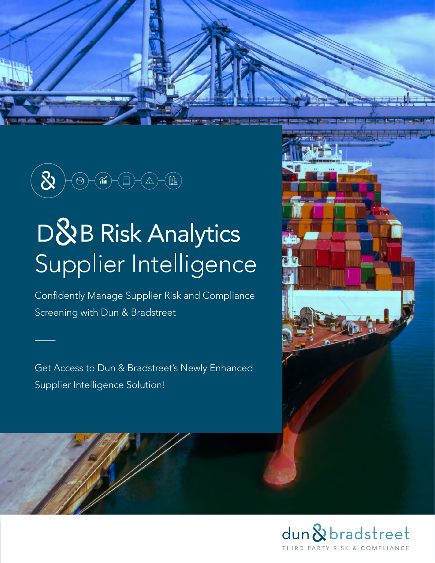

# D&B Risk Analytics Supplier Intelligence

Confidently Manage Supplier Risk and Compliance Screening with Dun & Bradstreet

Get Access to Dun & Bradstreet's Newly Enhanced Supplier Intelligence Solution!



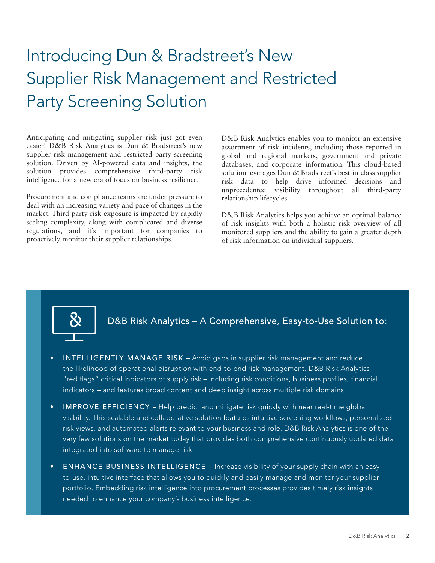# Introducing Dun & Bradstreet's New Supplier Risk Management and Restricted Party Screening Solution

Anticipating and mitigating supplier risk just got even easier! D&B Risk Analytics is Dun & Bradstreet's new supplier risk management and restricted party screening solution. Driven by AI-powered data and insights, the solution provides comprehensive third-party risk intelligence for a new era of focus on business resilience.

Procurement and compliance teams are under pressure to deal with an increasing variety and pace of changes in the market. Third-party risk exposure is impacted by rapidly scaling complexity, along with complicated and diverse regulations, and it's important for companies to proactively monitor their supplier relationships.

D&B Risk Analytics enables you to monitor an extensive assortment of risk incidents, including those reported in global and regional markets, government and private databases, and corporate information. This cloud-based solution leverages Dun & Bradstreet's best-in-class supplier risk data to help drive informed decisions and unprecedented visibility throughout all third-party relationship lifecycles.

D&B Risk Analytics helps you achieve an optimal balance of risk insights with both a holistic risk overview of all monitored suppliers and the ability to gain a greater depth of risk information on individual suppliers.



D&B Risk Analytics – A Comprehensive, Easy-to-Use Solution to:

- INTELLIGENTLY MANAGE RISK Avoid gaps in supplier risk management and reduce the likelihood of operational disruption with end-to-end risk management. D&B Risk Analytics "red flags" critical indicators of supply risk – including risk conditions, business profiles, financial indicators – and features broad content and deep insight across multiple risk domains.
- IMPROVE EFFICIENCY Help predict and mitigate risk quickly with near real-time global visibility. This scalable and collaborative solution features intuitive screening workflows, personalized risk views, and automated alerts relevant to your business and role. D&B Risk Analytics is one of the very few solutions on the market today that provides both comprehensive continuously updated data integrated into software to manage risk.
- ENHANCE BUSINESS INTELLIGENCE Increase visibility of your supply chain with an easyto-use, intuitive interface that allows you to quickly and easily manage and monitor your supplier portfolio. Embedding risk intelligence into procurement processes provides timely risk insights needed to enhance your company's business intelligence.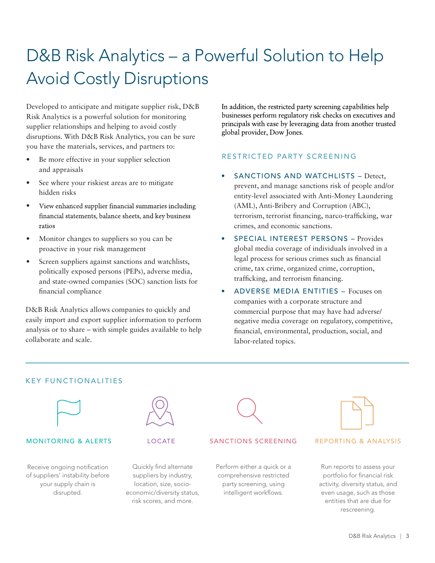# D&B Risk Analytics – a Powerful Solution to Help Avoid Costly Disruptions

Developed to anticipate and mitigate supplier risk, D&B Risk Analytics is a powerful solution for monitoring supplier relationships and helping to avoid costly disruptions. With D&B Risk Analytics, you can be sure you have the materials, services, and partners to:

- Be more effective in your supplier selection and appraisals
- See where your riskiest areas are to mitigate hidden risks
- View enhanced supplier financial summaries including financial statements, balance sheets, and key business ratios
- Monitor changes to suppliers so you can be proactive in your risk management
- Screen suppliers against sanctions and watchlists, politically exposed persons (PEPs), adverse media, and state-owned companies (SOC) sanction lists for nancial compliance

D&B Risk Analytics allows companies to quickly and easily import and export supplier information to perform analysis or to share – with simple guides available to help collaborate and scale.

In addition, the restricted party screening capabilities help businesses perform regulatory risk checks on executives and principals with ease by leveraging data from another trusted global provider, Dow Jones.

#### RESTRICTED PARTY SCREENING

- SANCTIONS AND WATCHLISTS Detect, prevent, and manage sanctions risk of people and/or entity-level associated with Anti-Money Laundering (AML), Anti-Bribery and Corruption (ABC), terrorism, terrorist financing, narco-trafficking, war crimes, and economic sanctions.
- SPECIAL INTEREST PERSONS Provides global media coverage of individuals involved in a legal process for serious crimes such as financial crime, tax crime, organized crime, corruption, trafficking, and terrorism financing.
- ADVERSE MEDIA ENTITIES Focuses on companies with a corporate structure and commercial purpose that may have had adverse/ negative media coverage on regulatory, competitive, nancial, environmental, production, social, and labor-related topics.



KEY FUNCTIONALITIES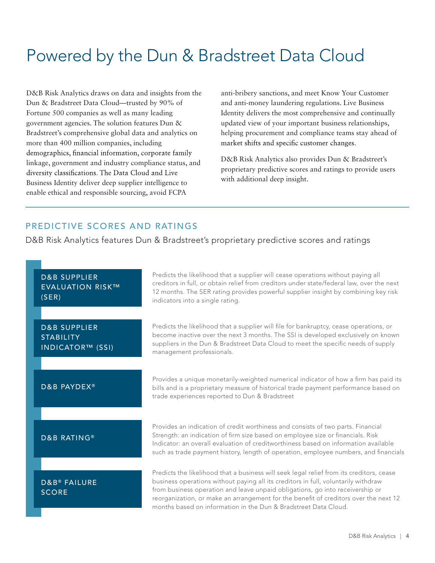### Powered by the Dun & Bradstreet Data Cloud

D&B Risk Analytics draws on data and insights from the Dun & Bradstreet Data Cloud—trusted by 90% of Fortune 500 companies as well as many leading government agencies. The solution features Dun & Bradstreet's comprehensive global data and analytics on more than 400 million companies, including demographics, financial information, corporate family linkage, government and industry compliance status, and diversity classifications. The Data Cloud and Live Business Identity deliver deep supplier intelligence to enable ethical and responsible sourcing, avoid FCPA

anti-bribery sanctions, and meet Know Your Customer and anti-money laundering regulations. Live Business Identity delivers the most comprehensive and continually updated view of your important business relationships, helping procurement and compliance teams stay ahead of market shifts and specific customer changes.

D&B Risk Analytics also provides Dun & Bradstreet's proprietary predictive scores and ratings to provide users with additional deep insight.

#### PREDICTIVE SCORES AND RATINGS

D&B Risk Analytics features Dun & Bradstreet's proprietary predictive scores and ratings

| <b>D&amp;B SUPPLIER</b><br><b>EVALUATION RISK™</b><br>(SER)            | Predicts the likelihood that a supplier will cease operations without paying all<br>creditors in full, or obtain relief from creditors under state/federal law, over the next<br>12 months. The SER rating provides powerful supplier insight by combining key risk<br>indicators into a single rating.                                                                                                                    |
|------------------------------------------------------------------------|----------------------------------------------------------------------------------------------------------------------------------------------------------------------------------------------------------------------------------------------------------------------------------------------------------------------------------------------------------------------------------------------------------------------------|
| <b>D&amp;B SUPPLIER</b><br><b>STABILITY</b><br><b>INDICATOR™ (SSI)</b> | Predicts the likelihood that a supplier will file for bankruptcy, cease operations, or<br>become inactive over the next 3 months. The SSI is developed exclusively on known<br>suppliers in the Dun & Bradstreet Data Cloud to meet the specific needs of supply<br>management professionals.                                                                                                                              |
| D&B PAYDEX®                                                            | Provides a unique monetarily-weighted numerical indicator of how a firm has paid its<br>bills and is a proprietary measure of historical trade payment performance based on<br>trade experiences reported to Dun & Bradstreet                                                                                                                                                                                              |
| <b>D&amp;B RATING®</b>                                                 | Provides an indication of credit worthiness and consists of two parts. Financial<br>Strength: an indication of firm size based on employee size or financials. Risk<br>Indicator: an overall evaluation of creditworthiness based on information available<br>such as trade payment history, length of operation, employee numbers, and financials                                                                         |
| <b>D&amp;B® FAILURE</b><br><b>SCORE</b>                                | Predicts the likelihood that a business will seek legal relief from its creditors, cease<br>business operations without paying all its creditors in full, voluntarily withdraw<br>from business operation and leave unpaid obligations, go into receivership or<br>reorganization, or make an arrangement for the benefit of creditors over the next 12<br>months based on information in the Dun & Bradstreet Data Cloud. |
|                                                                        | D&R Rick Analytics                                                                                                                                                                                                                                                                                                                                                                                                         |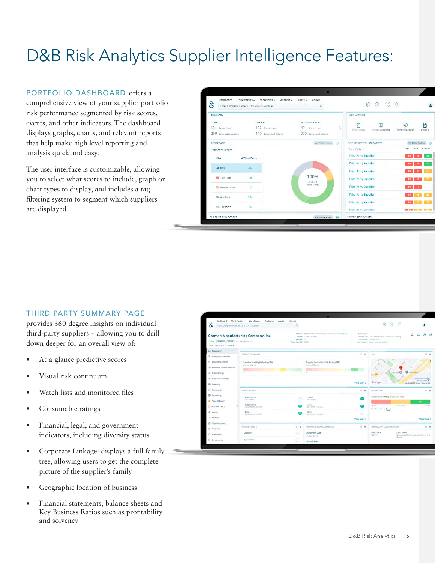# D&B Risk Analytics Supplier Intelligence Features:

#### PORTFOLIO DASHBOARD offers a

comprehensive view of your supplier portfolio risk performance segmented by risk scores, events, and other indicators. The dashboard displays graphs, charts, and relevant reports that help make high level reporting and analysis quick and easy.

The user interface is customizable, allowing you to select what scores to include, graph or chart types to display, and includes a tag filtering system to segment which suppliers are displayed.

| 8                                                 | Enter Company Name, ID Or D-U-N-S Number              | Q                                                          | 0 G A<br>ල                                    |                                 |
|---------------------------------------------------|-------------------------------------------------------|------------------------------------------------------------|-----------------------------------------------|---------------------------------|
| SUMMARY                                           |                                                       |                                                            | <b>KEY ACTIONS</b>                            |                                 |
| CORE<br>131 Actual Usage<br>200 Contracted Volume | $CORE +$<br>132 Actual Usage<br>140 Contracted Volume | Enhanced RPS +<br>49 Actual Usage<br>900 Contracted Volume | 蔚<br>區<br>Third Parties<br>Initiate Screening | 骨<br>Advanced Search<br>Reports |
| SCORECARD                                         |                                                       | All Third Parties 3                                        | TOP RISKIEST THIRD PARTIES                    | All Third Parties <             |
| <b>Risk Score Ranges</b>                          |                                                       |                                                            | <b>Third Parties</b>                          | SER Paydex<br>SSI               |
| Risk                                              | # Third Party                                         |                                                            | <b>Third Party Supplier</b>                   | $10 -$<br>$\mathbf{q}$          |
| All Risk                                          | 247                                                   |                                                            | <b>Third Party Supplier</b>                   |                                 |
|                                                   |                                                       |                                                            | <b>Third Party Supplier</b>                   |                                 |
| <b>High Risk</b>                                  | 35                                                    | 100%<br>All Risk                                           | <b>Third Party Supplier</b>                   |                                 |
| Medium Risk                                       | 22                                                    | Third Party                                                | <b>Third Party Supplier</b>                   | 10                              |
| <b>Low Risk</b>                                   | 143                                                   |                                                            | <b>Third Party Supplier</b>                   |                                 |
|                                                   |                                                       |                                                            | <b>Third Party Supplier</b>                   | 10 <sup>°</sup>                 |
| Unknown                                           | 47                                                    |                                                            | Third Darty Cunnliar                          | <b>CAN COMPANY</b>              |

#### THIRD PARTY SUMMARY PAGE

provides 360-degree insights on individual third-party suppliers – allowing you to drill down deeper for an overall view of:

- At-a-glance predictive scores
- Visual risk continuum
- Watch lists and monitored files
- Consumable ratings
- Financial, legal, and government indicators, including diversity status
- Corporate Linkage: displays a full family tree, allowing users to get the complete picture of the supplier's family
- Geographic location of business
- Financial statements, balance sheets and Key Business Ratios such as profitability and solvency

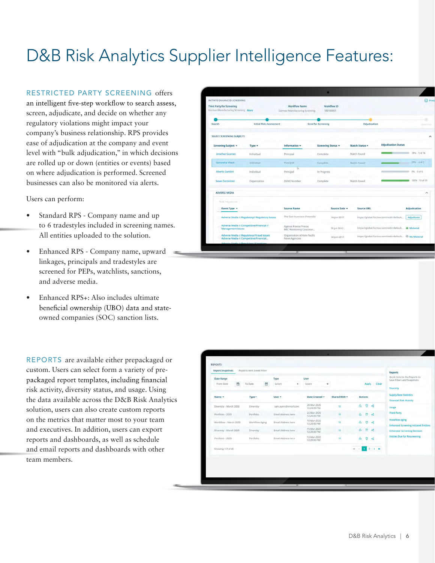# D&B Risk Analytics Supplier Intelligence Features:

#### RESTRICTED PARTY SCREENING offers

an intelligent five-step workflow to search assess. screen, adjudicate, and decide on whether any regulatory violations might impact your company's business relationship. RPS provides ease of adjudication at the company and event level with "bulk adjudication," in which decisions are rolled up or down (entities or events) based on where adjudication is performed. Screened businesses can also be monitored via alerts.

Users can perform:

- Standard RPS Company name and up to 6 tradestyles included in screening names. All entities uploaded to the solution.
- Enhanced RPS Company name, upward linkages, principals and tradestyles are screened for PEPs, watchlists, sanctions, and adverse media.
- Enhanced RPS+: Also includes ultimate beneficial ownership (UBO) data and stateowned companies (SOC) sanction lists.

REPORTS are available either prepackaged or custom. Users can select form a variety of prepackaged report templates, including financial risk activity, diversity status, and usage. Using the data available across the D&B Risk Analytics solution, users can also create custom reports on the metrics that matter most to your team and executives. In addition, users can export reports and dashboards, as well as schedule and email reports and dashboards with other team members.

| INITIATE ENHANCED SCREENING                                      |                                                                                     |                                                        |                          |               |                       |                                                        | <b>Print</b>         |
|------------------------------------------------------------------|-------------------------------------------------------------------------------------|--------------------------------------------------------|--------------------------|---------------|-----------------------|--------------------------------------------------------|----------------------|
| Third Party for Screening<br>Gorman Manufacturing Screening More |                                                                                     | Workflow Name<br>Gorman Manufacturing Screening        | Workflow ID<br>100100001 |               |                       |                                                        |                      |
| Search                                                           | <b>Initial Risk Assessment</b>                                                      |                                                        | Send for Screening       |               | Adjudication          |                                                        |                      |
| SELECT SCREENING SUBJECTS                                        |                                                                                     |                                                        |                          |               |                       |                                                        |                      |
| Screening Subject *                                              | Type -                                                                              | Information *                                          | Screening Status v       |               | <b>Match Status +</b> | <b>Adjudication Status</b>                             |                      |
| Jonathan Gusman                                                  | Individual                                                                          | Principal                                              | Complete                 |               | Match Found           |                                                        | 18% 5 of 34          |
| Samantha Vikash                                                  | Individual                                                                          | Principal                                              | Complete                 |               | Match Found           |                                                        | 57% 4世7              |
| Alberto Gambini                                                  | Individual                                                                          | ъ<br>Principal                                         | In Progress              |               |                       |                                                        | 0% 0 of 6            |
| Suitan Gorzininski                                               | Organization                                                                        | DUNS Number                                            | Complete                 |               | Match Found           |                                                        | 100% 10 of 10        |
| <b>ADVERSE MEDIA</b>                                             |                                                                                     |                                                        |                          |               |                       |                                                        | $\scriptstyle\prime$ |
| Not Adjustician                                                  |                                                                                     |                                                        |                          |               |                       |                                                        |                      |
| Event Type *                                                     |                                                                                     | <b>Source Name</b>                                     |                          | Source Date = | <b>Source URL</b>     |                                                        | Adjudication         |
|                                                                  | Adverse Media // Regulatory// Regulatory Issues                                     | The San Francisco Chronicle                            |                          | 14-Jun-2017   |                       | https://global.factiva.com/redit/default               | Adjudicate           |
| <b>Management Issues</b>                                         | Adverse Media // Competitive/Financial //                                           | Agence France Presse<br><b>BBC Monitoring Caucasus</b> |                          | 23-jui-2012   |                       | https://global.factiva.com/redir/default . A Material  |                      |
|                                                                  | Adverse Media // Regulatory//Fraud Issues<br>Adverse Media // Competitive/Financial | Organisation of Asia-Pacific<br>News Agencies          |                          | 14-jun-2017   |                       | https://global.factiva.cnm/redir/default Ø No Material |                      |
|                                                                  | Admires Madia // Bamdatoni/Kanztinn                                                 |                                                        |                          |               |                       |                                                        |                      |

| Date Range<br>From Date | 曲 | To Date        | 飴 | Type<br>Select<br>٠  | User<br>Soloct:            | ÷                       |                | Apply    |               | Clear | Quick links to the Reports to<br>Save Filters and Snapshots           |
|-------------------------|---|----------------|---|----------------------|----------------------------|-------------------------|----------------|----------|---------------|-------|-----------------------------------------------------------------------|
|                         |   |                |   |                      |                            |                         |                |          |               |       | <b>Diversity</b>                                                      |
| Name <b>v</b>           |   | Type +         |   | User $\star$         | Date Created =             | Shared With -           | <b>Actions</b> |          |               |       | <b>Supply Base Statistics</b><br>Financial Risk Activity              |
| Diversity - March 2020  |   | Diversity      |   | sam.ayers@vimail.com | 26-Mar-2020<br>12:20:30 PM | 11                      | Δ              | ū        | æ             |       | <b>Usage</b>                                                          |
| Portfolio - 2020        |   | Portfolio      |   | Email Address here   | 22-Mar-2020<br>12:20:30 PM | $\overline{\mathbf{H}}$ | A              | $\sigma$ | ×             |       | <b>Third Party</b>                                                    |
| Workflow - March 2020   |   | Workflow Aging |   | Email Address here   | 18-Mar-2020<br>12:20:30 PM | $11$                    | $\mathbf{A}$   | $\Box$   | $\mathcal{A}$ |       | <b>Workflow Aging</b><br><b>Enhanced Screening Initiated Entities</b> |
| Diversity - March 2020  |   | Diversity      |   | Email Address here   | 15-Mar-2020<br>12:20:30 PM | 11                      | A              | U.       | ್ಲ            |       | <b>Enhanced Screening Decision</b>                                    |
| Portfolio - 2020        |   | Portfolio      |   | Email Address here   | 12-Mar-2020<br>12:20:30 PM | w                       | A              | o        | ×.            |       | <b>Entitles Due for Rescreening</b>                                   |
| Showing 1-7 of 45       |   |                |   |                      |                            |                         |                |          | $2 + 1$       |       |                                                                       |
|                         |   |                |   |                      |                            |                         |                |          |               |       |                                                                       |